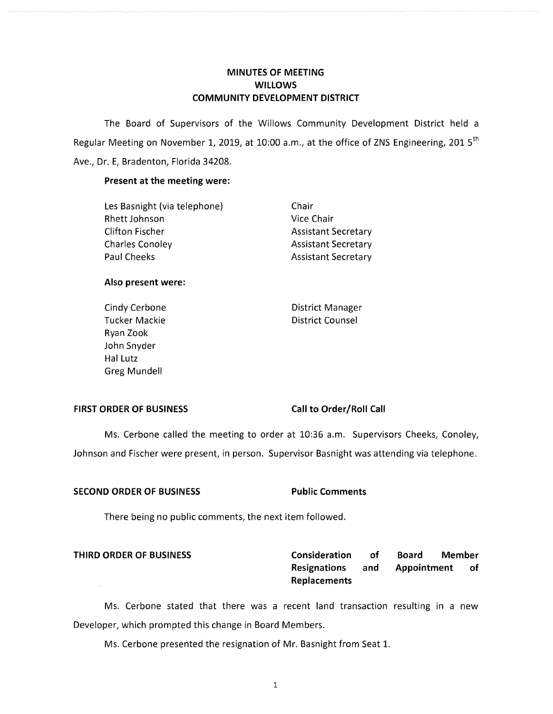# **MINUTES OF MEETING WILLOWS COMMUNITY DEVELOPMENT DISTRICT**

The Board of Supervisors of the Willows Community Development District held a Regular Meeting on November 1, 2019, at 10:00 a.m., at the office of ZNS Engineering, 201  $5<sup>th</sup>$ Ave., Dr. E, Bradenton, Florida 34208.

### **Present at the meeting were:**

| Les Basnight (via telephone) | Chair  |
|------------------------------|--------|
| Rhett Johnson                | Vice C |
| Clifton Fischer              | Assist |
| Charles Conoley              | Assist |
| Paul Cheeks                  | Assist |

Vice Chair **Assistant Secretary Assistant Secretary Assistant Secretary** 

### **Also present were:**

Ryan Zook John Snyder Hal Lutz Greg Mundell

Cindy Cerbone **District Manager** Tucker Mackie **District Counsel** 

### **FIRST ORDER OF BUSINESS Call to Order/Roll Call**

Ms. Cerbone called the meeting to order at 10:36 a.m. Supervisors Cheeks, Conoley, Johnson and Fischer were present, in person. Supervisor Basnight was attending via telephone.

### **SECOND ORDER OF BUSINESS Public Comments**

There being no public comments, the next item followed.

**THIRD ORDER OF BUSINESS Consideration of Board Member Resignations and Appointment of Replacements** 

Ms. Cerbone stated that there was a recent land transaction resulting in a new Developer, which prompted this change in Board Members.

Ms. Cerbone presented the resignation of Mr. Basnight from Seat 1.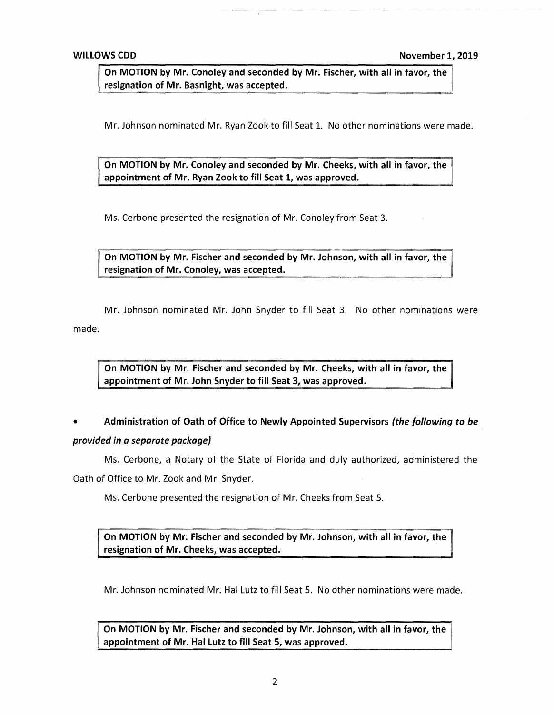**On MOTION by Mr. Conoley and seconded by Mr. Fischer, with all in favor, the resignation of Mr. Basnight, was accepted.** 

Mr. Johnson nominated Mr. Ryan Zook to fill Seat 1. No other nominations were made.

**On MOTION by Mr. Conoley and seconded by Mr. Cheeks, with all in favor, the appointment of Mr. Ryan Zook to fill Seat 1, was approved.** 

Ms. Cerbone presented the resignation of Mr. Conoley from Seat 3.

**On MOTION by Mr. Fischer and seconded by Mr. Johnson, with all in favor, the resignation of Mr. Conoley, was accepted.** 

Mr. Johnson nominated Mr. John Snyder to fill Seat 3. No other nominations were made.

**On MOTION by Mr. Fischer and seconded by Mr. Cheeks, with all in favor, the appointment of Mr. John Snyder to fill Seat 3, was approved.** 

• **Administration of Oath of Office to Newly Appointed Supervisors** *(the following* **to** *be* 

### *provided in a separate package)*

Ms. Cerbone, a Notary of the State of Florida and duly authorized, administered the Oath of Office to Mr. Zook and Mr. Snyder.

Ms. Cerbone presented the resignation of Mr. Cheeks from Seat 5.

**On MOTION by Mr. Fischer and seconded by Mr. Johnson, with all in favor, the resignation of Mr. Cheeks, was accepted.** 

Mr. Johnson nominated Mr. Hal Lutz to fill Seat 5. No other nominations were made.

**On MOTION by Mr. Fischer and seconded by Mr. Johnson, with all in favor, the appointment of Mr. Hal Lutz to fill Seat 5, was approved.**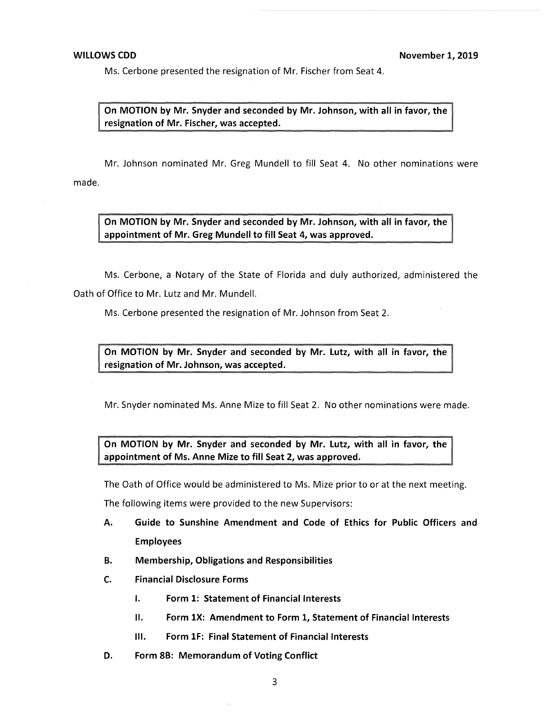Ms. Cerbone presented the resignation of Mr. Fischer from Seat 4.

**n MOTION by Mr. Snyder and seconded by Mr. Johnson, with all in favor, the resignation of Mr. Fischer, was accepted.** 

Mr. Johnson nominated Mr. Greg Mundell to fill Seat 4. No other nominations were made.

**On MOTION by Mr. Snyder and seconded by Mr. Johnson, with all in favor, the appointment of Mr. Greg Mundell to fill Seat 4, was approved.** 

Ms. Cerbone, a Notary of the State of Florida and duly authorized, administered the Oath of Office to Mr. Lutz and Mr. Mundell.

Ms. Cerbone presented the resignation of Mr. Johnson from Seat 2.

On MOTION by Mr. Snyder and seconded by Mr. Lutz, with all in favor, the  $\parallel$ **resignation of Mr. Johnson, was accepted.** 

Mr. Snyder nominated Ms. Anne Mize to fill Seat 2. No other nominations were made.

**On MOTION by Mr. Snyder and seconded by Mr. Lutz, with all in favor, the appointment of Ms. Anne Mize to fill Seat 2, was approved.** 

The Oath of Office would be administered to Ms. Mize prior to or at the next meeting.

The following items were provided to the new Supervisors:

- **A. Guide to Sunshine Amendment and Code of Ethics for Public Officers and Employees**
- **B. Membership, Obligations and Responsibilities**
- **C. Financial Disclosure Forms** 
	- I. **Form 1: Statement of Financial Interests**
	- II. **Form lX: Amendment to Form 1, Statement of Financial Interests**
	- Ill. **Form lF: Final Statement of Financial Interests**
- **D. Form 8B: Memorandum of Voting Conflict**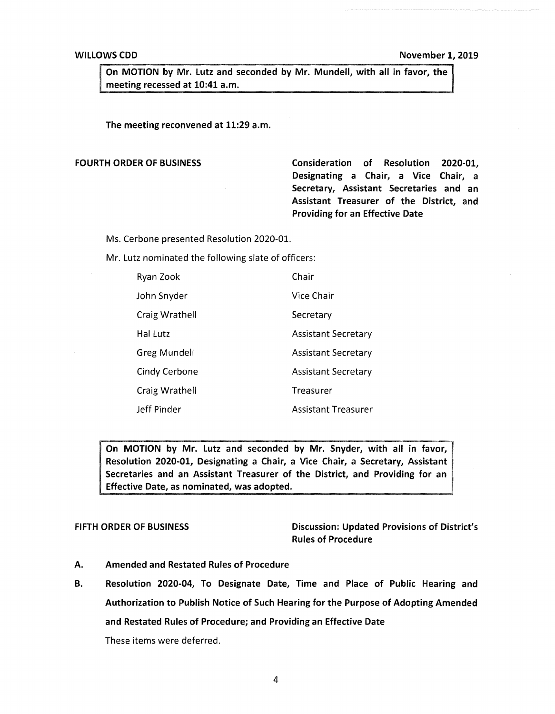On MOTION by Mr. Lutz and seconded by Mr. Mundell, with all in favor, the meeting recessed at 10:41 a.m.

The meeting reconvened at 11:29 a.m.

FOURTH ORDER OF BUSINESS **Consideration of Resolution 2020-01, Designating a Chair, a Vice Chair, a Secretary, Assistant Secretaries and an Assistant Treasurer of the District, and Providing for an Effective Date** 

Ms. Cerbone presented Resolution 2020-01.

Mr. Lutz nominated the following slate of officers:

| Ryan Zook      | Chair                      |
|----------------|----------------------------|
| John Snyder    | Vice Chair                 |
| Craig Wrathell | Secretary                  |
| Hal Lutz       | <b>Assistant Secretary</b> |
| Greg Mundell   | <b>Assistant Secretary</b> |
| Cindy Cerbone  | <b>Assistant Secretary</b> |
| Craig Wrathell | Treasurer                  |
| Jeff Pinder    | <b>Assistant Treasurer</b> |

**On MOTION by Mr. Lutz and seconded by Mr. Snyder, with all in favor, Resolution 2020-01, Designating a Chair, a Vice Chair, a Secretary, Assistant Secretaries and an Assistant Treasurer of the District, and Providing for an Effective Date, as nominated, was adopted.** 

FIFTH ORDER OF BUSINESS Discussion: Updated Provisions of District's Rules of Procedure

- A. Amended and Restated Rules of Procedure
- B. Resolution 2020-04, To Designate Date, Time and Place of Public Hearing and Authorization to Publish Notice of Such Hearing for the Purpose of Adopting Amended and Restated Rules of Procedure; and Providing an Effective Date

These items were deferred.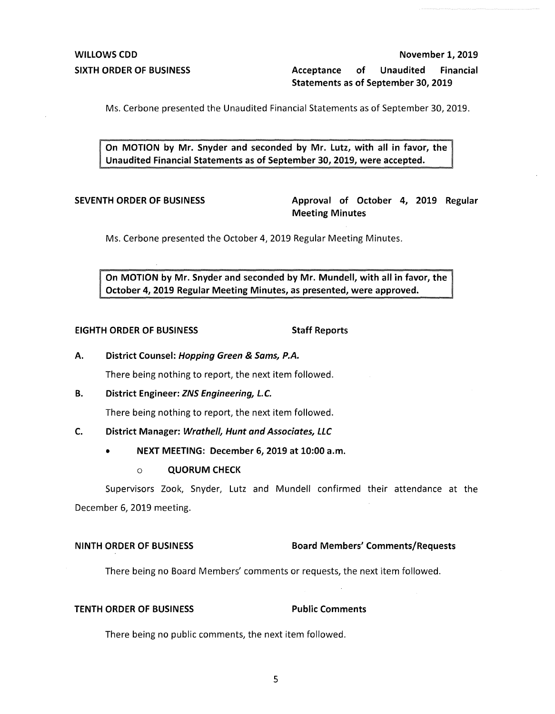**SIXTH ORDER OF BUSINESS Acceptance of Unaudited Financial Statements as of September 30, 2019** 

Ms. Cerbone presented the Unaudited Financial Statements as of September 30, 2019.

**On MOTION by Mr. Snyder and seconded by Mr. Lutz, with all in favor, the Unaudited Financial Statements as of September 30, 2019, were accepted.** 

**SEVENTH ORDER OF BUSINESS Approval of October 4, 2019 Regular Meeting Minutes** 

Ms. Cerbone presented the October 4, 2019 Regular Meeting Minutes.

**On MOTION by Mr. Snyder and seconded by Mr. Mundell, with all in favor, the October 4, 2019 Regular Meeting Minutes, as presented, were approved.** 

### **EIGHTH ORDER OF BUSINESS STATES STAFF Reports**

**A. District Counsel: Hopping Green** & **Sams, P.A.** 

There being nothing to report, the next item followed.

**B. District Engineer: ZNS Engineering, L.C.** 

There being nothing to report, the next item followed.

### **C. District Manager: Wrathe/1, Hunt and Associates, LLC**

- **NEXT MEETING: December 6, 2019 at 10:00 a.m.** 
	- o **QUORUM CHECK**

Supervisors Zook, Snyder, Lutz and Mundell confirmed their attendance at the December 6, 2019 meeting.

### **NINTH ORDER OF BUSINESS Board Members' Comments/Requests**

There being no Board Members' comments or requests, the next item followed.

## **TENTH ORDER OF BUSINESS Public Comments**

There being no public comments, the next item followed.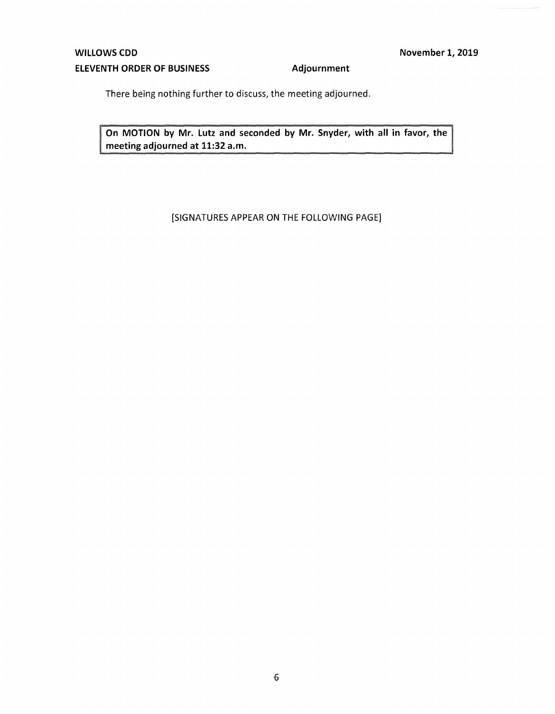There being nothing further to discuss, the meeting adjourned.

**On MOTION by Mr. Lutz and seconded by Mr. Snyder, with all in favor, the meeting adjourned at 11:32 a.m.** 

# [SIGNATURES APPEAR ON THE FOLLOWING PAGE]